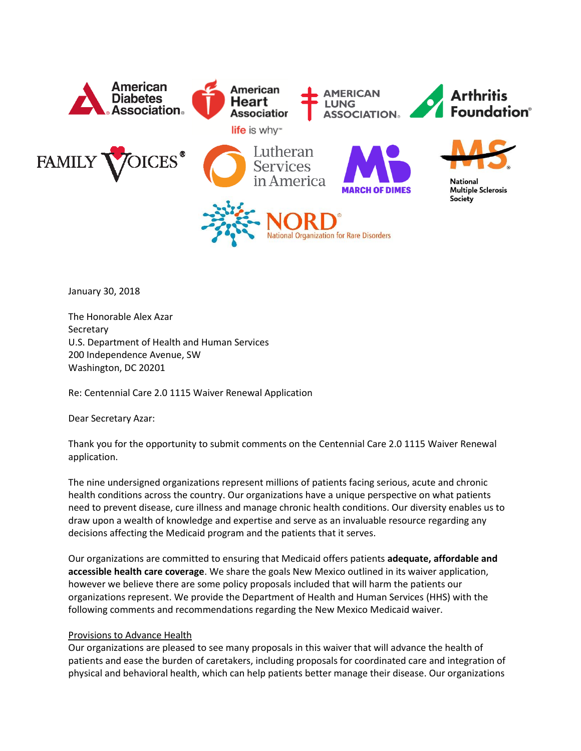

January 30, 2018

The Honorable Alex Azar **Secretary** U.S. Department of Health and Human Services 200 Independence Avenue, SW Washington, DC 20201

Re: Centennial Care 2.0 1115 Waiver Renewal Application

Dear Secretary Azar:

Thank you for the opportunity to submit comments on the Centennial Care 2.0 1115 Waiver Renewal application.

The nine undersigned organizations represent millions of patients facing serious, acute and chronic health conditions across the country. Our organizations have a unique perspective on what patients need to prevent disease, cure illness and manage chronic health conditions. Our diversity enables us to draw upon a wealth of knowledge and expertise and serve as an invaluable resource regarding any decisions affecting the Medicaid program and the patients that it serves.

Our organizations are committed to ensuring that Medicaid offers patients **adequate, affordable and accessible health care coverage**. We share the goals New Mexico outlined in its waiver application, however we believe there are some policy proposals included that will harm the patients our organizations represent. We provide the Department of Health and Human Services (HHS) with the following comments and recommendations regarding the New Mexico Medicaid waiver.

## Provisions to Advance Health

Our organizations are pleased to see many proposals in this waiver that will advance the health of patients and ease the burden of caretakers, including proposals for coordinated care and integration of physical and behavioral health, which can help patients better manage their disease. Our organizations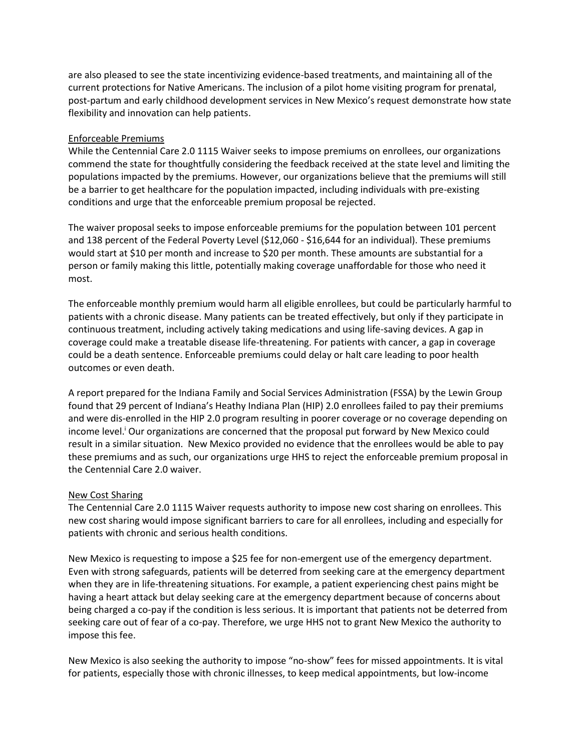are also pleased to see the state incentivizing evidence-based treatments, and maintaining all of the current protections for Native Americans. The inclusion of a pilot home visiting program for prenatal, post-partum and early childhood development services in New Mexico's request demonstrate how state flexibility and innovation can help patients.

## Enforceable Premiums

While the Centennial Care 2.0 1115 Waiver seeks to impose premiums on enrollees, our organizations commend the state for thoughtfully considering the feedback received at the state level and limiting the populations impacted by the premiums. However, our organizations believe that the premiums will still be a barrier to get healthcare for the population impacted, including individuals with pre-existing conditions and urge that the enforceable premium proposal be rejected.

The waiver proposal seeks to impose enforceable premiums for the population between 101 percent and 138 percent of the Federal Poverty Level (\$12,060 - \$16,644 for an individual). These premiums would start at \$10 per month and increase to \$20 per month. These amounts are substantial for a person or family making this little, potentially making coverage unaffordable for those who need it most.

The enforceable monthly premium would harm all eligible enrollees, but could be particularly harmful to patients with a chronic disease. Many patients can be treated effectively, but only if they participate in continuous treatment, including actively taking medications and using life-saving devices. A gap in coverage could make a treatable disease life-threatening. For patients with cancer, a gap in coverage could be a death sentence. Enforceable premiums could delay or halt care leading to poor health outcomes or even death.

A report prepared for the Indiana Family and Social Services Administration (FSSA) by the Lewin Group found that 29 percent of Indiana's Heathy Indiana Plan (HIP) 2.0 enrollees failed to pay their premiums and were dis-enrolled in the HIP 2.0 program resulting in poorer coverage or no coverage depending on income level.<sup>*i*</sup> Our organizations are concerned that the proposal put forward by New Mexico could result in a similar situation. New Mexico provided no evidence that the enrollees would be able to pay these premiums and as such, our organizations urge HHS to reject the enforceable premium proposal in the Centennial Care 2.0 waiver.

## New Cost Sharing

The Centennial Care 2.0 1115 Waiver requests authority to impose new cost sharing on enrollees. This new cost sharing would impose significant barriers to care for all enrollees, including and especially for patients with chronic and serious health conditions.

New Mexico is requesting to impose a \$25 fee for non-emergent use of the emergency department. Even with strong safeguards, patients will be deterred from seeking care at the emergency department when they are in life-threatening situations. For example, a patient experiencing chest pains might be having a heart attack but delay seeking care at the emergency department because of concerns about being charged a co-pay if the condition is less serious. It is important that patients not be deterred from seeking care out of fear of a co-pay. Therefore, we urge HHS not to grant New Mexico the authority to impose this fee.

New Mexico is also seeking the authority to impose "no-show" fees for missed appointments. It is vital for patients, especially those with chronic illnesses, to keep medical appointments, but low-income